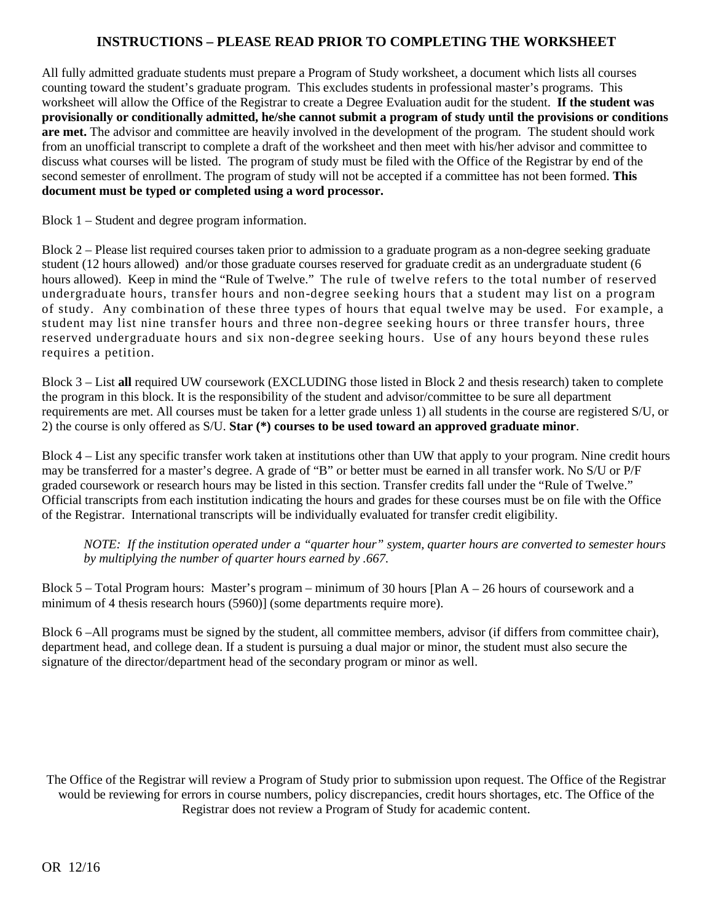## **INSTRUCTIONS – PLEASE READ PRIOR TO COMPLETING THE WORKSHEET**

All fully admitted graduate students must prepare a Program of Study worksheet, a document which lists all courses counting toward the student's graduate program. This excludes students in professional master's programs. This worksheet will allow the Office of the Registrar to create a Degree Evaluation audit for the student. **If the student was provisionally or conditionally admitted, he/she cannot submit a program of study until the provisions or conditions are met.** The advisor and committee are heavily involved in the development of the program. The student should work from an unofficial transcript to complete a draft of the worksheet and then meet with his/her advisor and committee to discuss what courses will be listed. The program of study must be filed with the Office of the Registrar by end of the second semester of enrollment. The program of study will not be accepted if a committee has not been formed. **This document must be typed or completed using a word processor.**

Block 1 – Student and degree program information.

Block 2 – Please list required courses taken prior to admission to a graduate program as a non-degree seeking graduate student (12 hours allowed) and/or those graduate courses reserved for graduate credit as an undergraduate student (6 hours allowed). Keep in mind the "Rule of Twelve." The rule of twelve refers to the total number of reserved undergraduate hours, transfer hours and non-degree seeking hours that a student may list on a program of study. Any combination of these three types of hours that equal twelve may be used. For example, a student may list nine transfer hours and three non-degree seeking hours or three transfer hours, three reserved undergraduate hours and six non-degree seeking hours. Use of any hours beyond these rules requires a petition.

Block 3 – List **all** required UW coursework (EXCLUDING those listed in Block 2 and thesis research) taken to complete the program in this block. It is the responsibility of the student and advisor/committee to be sure all department requirements are met. All courses must be taken for a letter grade unless 1) all students in the course are registered S/U, or 2) the course is only offered as S/U. **Star (\*) courses to be used toward an approved graduate minor**.

Block 4 – List any specific transfer work taken at institutions other than UW that apply to your program. Nine credit hours may be transferred for a master's degree. A grade of "B" or better must be earned in all transfer work. No S/U or P/F graded coursework or research hours may be listed in this section. Transfer credits fall under the "Rule of Twelve." Official transcripts from each institution indicating the hours and grades for these courses must be on file with the Office of the Registrar. International transcripts will be individually evaluated for transfer credit eligibility.

*NOTE: If the institution operated under a "quarter hour" system, quarter hours are converted to semester hours by multiplying the number of quarter hours earned by .667.* 

Block 5 – Total Program hours: Master's program – minimum of 30 hours [Plan A – 26 hours of coursework and a minimum of 4 thesis research hours (5960)] (some departments require more).

Block 6 –All programs must be signed by the student, all committee members, advisor (if differs from committee chair), department head, and college dean. If a student is pursuing a dual major or minor, the student must also secure the signature of the director/department head of the secondary program or minor as well.

The Office of the Registrar will review a Program of Study prior to submission upon request. The Office of the Registrar would be reviewing for errors in course numbers, policy discrepancies, credit hours shortages, etc. The Office of the Registrar does not review a Program of Study for academic content.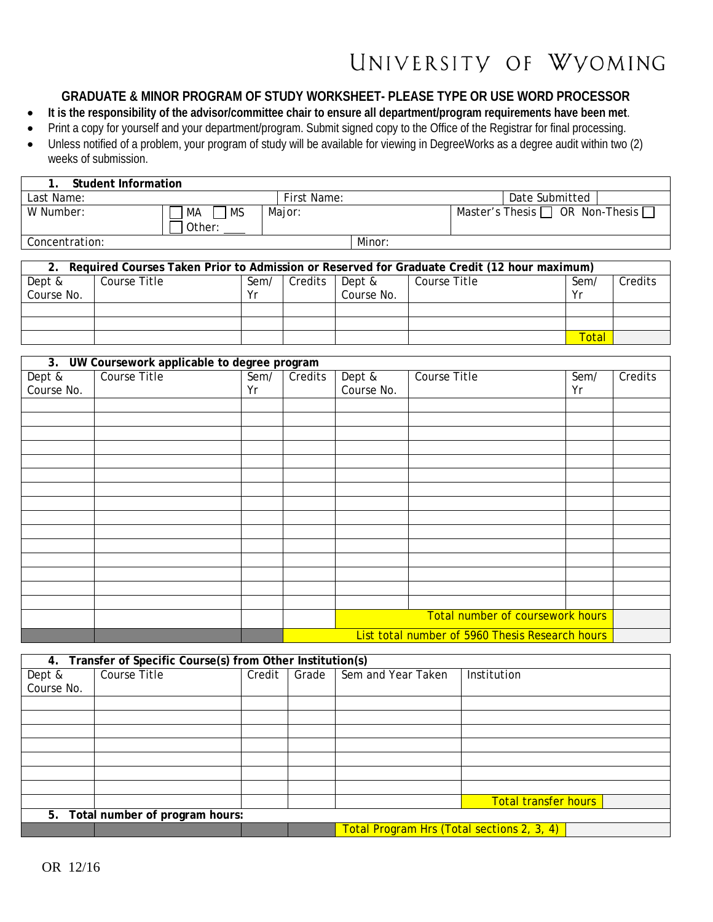## UNIVERSITY OF WYOMING

## **GRADUATE & MINOR PROGRAM OF STUDY WORKSHEET- PLEASE TYPE OR USE WORD PROCESSOR**

- **It is the responsibility of the advisor/committee chair to ensure all department/program requirements have been met**.
- Print a copy for yourself and your department/program. Submit signed copy to the Office of the Registrar for final processing.
- Unless notified of a problem, your program of study will be available for viewing in DegreeWorks as a degree audit within two (2) weeks of submission.

| Student Information |                 |             |        |                                             |  |
|---------------------|-----------------|-------------|--------|---------------------------------------------|--|
| Last Name:          |                 | First Name: |        | Date Submitted                              |  |
| W Number:           | <b>MS</b><br>МA | Major:      |        | Master's Thesis $\Box$ OR Non-Thesis $\Box$ |  |
|                     | Other:          |             |        |                                             |  |
| Concentration:      |                 |             | Minor: |                                             |  |

| Required Courses Taken Prior to Admission or Reserved for Graduate Credit (12 hour maximum) |              |      |         |            |              |       |         |
|---------------------------------------------------------------------------------------------|--------------|------|---------|------------|--------------|-------|---------|
| Dept &                                                                                      | Course Title | Sem/ | Credits | Dept &     | Course Title | Sem   | Credits |
| Course No.                                                                                  |              | ٧r   |         | Course No. |              | Vr    |         |
|                                                                                             |              |      |         |            |              |       |         |
|                                                                                             |              |      |         |            |              |       |         |
|                                                                                             |              |      |         |            |              | Total |         |

| 3. UW Coursework applicable to degree program |              |      |                                                 |            |              |      |         |
|-----------------------------------------------|--------------|------|-------------------------------------------------|------------|--------------|------|---------|
| Dept &                                        | Course Title | Sem/ | Credits                                         | Dept &     | Course Title | Sem/ | Credits |
| Course No.                                    |              | Yr   |                                                 | Course No. |              | Yr   |         |
|                                               |              |      |                                                 |            |              |      |         |
|                                               |              |      |                                                 |            |              |      |         |
|                                               |              |      |                                                 |            |              |      |         |
|                                               |              |      |                                                 |            |              |      |         |
|                                               |              |      |                                                 |            |              |      |         |
|                                               |              |      |                                                 |            |              |      |         |
|                                               |              |      |                                                 |            |              |      |         |
|                                               |              |      |                                                 |            |              |      |         |
|                                               |              |      |                                                 |            |              |      |         |
|                                               |              |      |                                                 |            |              |      |         |
|                                               |              |      |                                                 |            |              |      |         |
|                                               |              |      |                                                 |            |              |      |         |
|                                               |              |      |                                                 |            |              |      |         |
|                                               |              |      |                                                 |            |              |      |         |
|                                               |              |      |                                                 |            |              |      |         |
|                                               |              |      |                                                 |            |              |      |         |
|                                               |              |      | Total number of coursework hours                |            |              |      |         |
|                                               |              |      | List total number of 5960 Thesis Research hours |            |              |      |         |

| 4. Transfer of Specific Course(s) from Other Institution(s) |              |        |       |                                            |                             |  |
|-------------------------------------------------------------|--------------|--------|-------|--------------------------------------------|-----------------------------|--|
| Dept &                                                      | Course Title | Credit | Grade | Sem and Year Taken                         | Institution                 |  |
| Course No.                                                  |              |        |       |                                            |                             |  |
|                                                             |              |        |       |                                            |                             |  |
|                                                             |              |        |       |                                            |                             |  |
|                                                             |              |        |       |                                            |                             |  |
|                                                             |              |        |       |                                            |                             |  |
|                                                             |              |        |       |                                            |                             |  |
|                                                             |              |        |       |                                            |                             |  |
|                                                             |              |        |       |                                            |                             |  |
|                                                             |              |        |       |                                            | <b>Total transfer hours</b> |  |
| 5. Total number of program hours:                           |              |        |       |                                            |                             |  |
|                                                             |              |        |       | Total Program Hrs (Total sections 2, 3, 4) |                             |  |